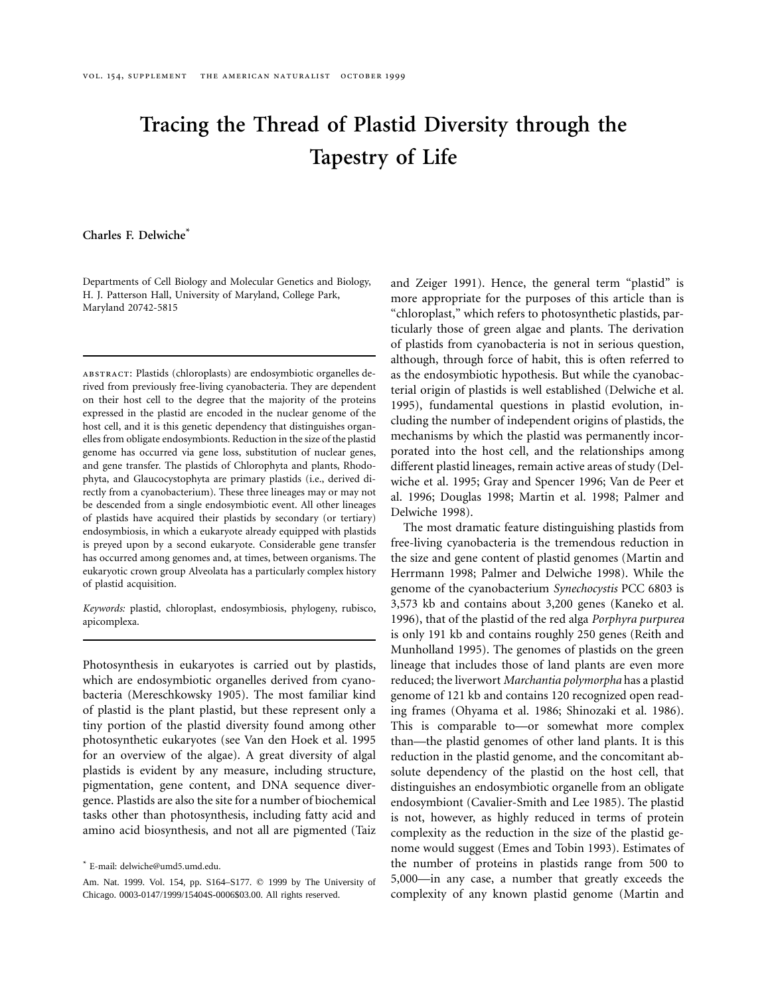# **Tracing the Thread of Plastid Diversity through the Tapestry of Life**

**Charles F. Delwiche\***

Departments of Cell Biology and Molecular Genetics and Biology, H. J. Patterson Hall, University of Maryland, College Park, Maryland 20742-5815

abstract: Plastids (chloroplasts) are endosymbiotic organelles derived from previously free-living cyanobacteria. They are dependent on their host cell to the degree that the majority of the proteins expressed in the plastid are encoded in the nuclear genome of the host cell, and it is this genetic dependency that distinguishes organelles from obligate endosymbionts. Reduction in the size of the plastid genome has occurred via gene loss, substitution of nuclear genes, and gene transfer. The plastids of Chlorophyta and plants, Rhodophyta, and Glaucocystophyta are primary plastids (i.e., derived directly from a cyanobacterium). These three lineages may or may not be descended from a single endosymbiotic event. All other lineages of plastids have acquired their plastids by secondary (or tertiary) endosymbiosis, in which a eukaryote already equipped with plastids is preyed upon by a second eukaryote. Considerable gene transfer has occurred among genomes and, at times, between organisms. The eukaryotic crown group Alveolata has a particularly complex history of plastid acquisition.

*Keywords:* plastid, chloroplast, endosymbiosis, phylogeny, rubisco, apicomplexa.

Photosynthesis in eukaryotes is carried out by plastids, which are endosymbiotic organelles derived from cyanobacteria (Mereschkowsky 1905). The most familiar kind of plastid is the plant plastid, but these represent only a tiny portion of the plastid diversity found among other photosynthetic eukaryotes (see Van den Hoek et al. 1995 for an overview of the algae). A great diversity of algal plastids is evident by any measure, including structure, pigmentation, gene content, and DNA sequence divergence. Plastids are also the site for a number of biochemical tasks other than photosynthesis, including fatty acid and amino acid biosynthesis, and not all are pigmented (Taiz and Zeiger 1991). Hence, the general term "plastid" is more appropriate for the purposes of this article than is "chloroplast," which refers to photosynthetic plastids, particularly those of green algae and plants. The derivation of plastids from cyanobacteria is not in serious question, although, through force of habit, this is often referred to as the endosymbiotic hypothesis. But while the cyanobacterial origin of plastids is well established (Delwiche et al. 1995), fundamental questions in plastid evolution, including the number of independent origins of plastids, the mechanisms by which the plastid was permanently incorporated into the host cell, and the relationships among different plastid lineages, remain active areas of study (Delwiche et al. 1995; Gray and Spencer 1996; Van de Peer et al. 1996; Douglas 1998; Martin et al. 1998; Palmer and Delwiche 1998).

The most dramatic feature distinguishing plastids from free-living cyanobacteria is the tremendous reduction in the size and gene content of plastid genomes (Martin and Herrmann 1998; Palmer and Delwiche 1998). While the genome of the cyanobacterium *Synechocystis* PCC 6803 is 3,573 kb and contains about 3,200 genes (Kaneko et al. 1996), that of the plastid of the red alga *Porphyra purpurea* is only 191 kb and contains roughly 250 genes (Reith and Munholland 1995). The genomes of plastids on the green lineage that includes those of land plants are even more reduced; the liverwort *Marchantia polymorpha* has a plastid genome of 121 kb and contains 120 recognized open reading frames (Ohyama et al. 1986; Shinozaki et al. 1986). This is comparable to—or somewhat more complex than—the plastid genomes of other land plants. It is this reduction in the plastid genome, and the concomitant absolute dependency of the plastid on the host cell, that distinguishes an endosymbiotic organelle from an obligate endosymbiont (Cavalier-Smith and Lee 1985). The plastid is not, however, as highly reduced in terms of protein complexity as the reduction in the size of the plastid genome would suggest (Emes and Tobin 1993). Estimates of the number of proteins in plastids range from 500 to 5,000—in any case, a number that greatly exceeds the complexity of any known plastid genome (Martin and

<sup>\*</sup> E-mail: delwiche@umd5.umd.edu.

Am. Nat. 1999. Vol. 154, pp. S164–S177. © 1999 by The University of Chicago. 0003-0147/1999/15404S-0006\$03.00. All rights reserved.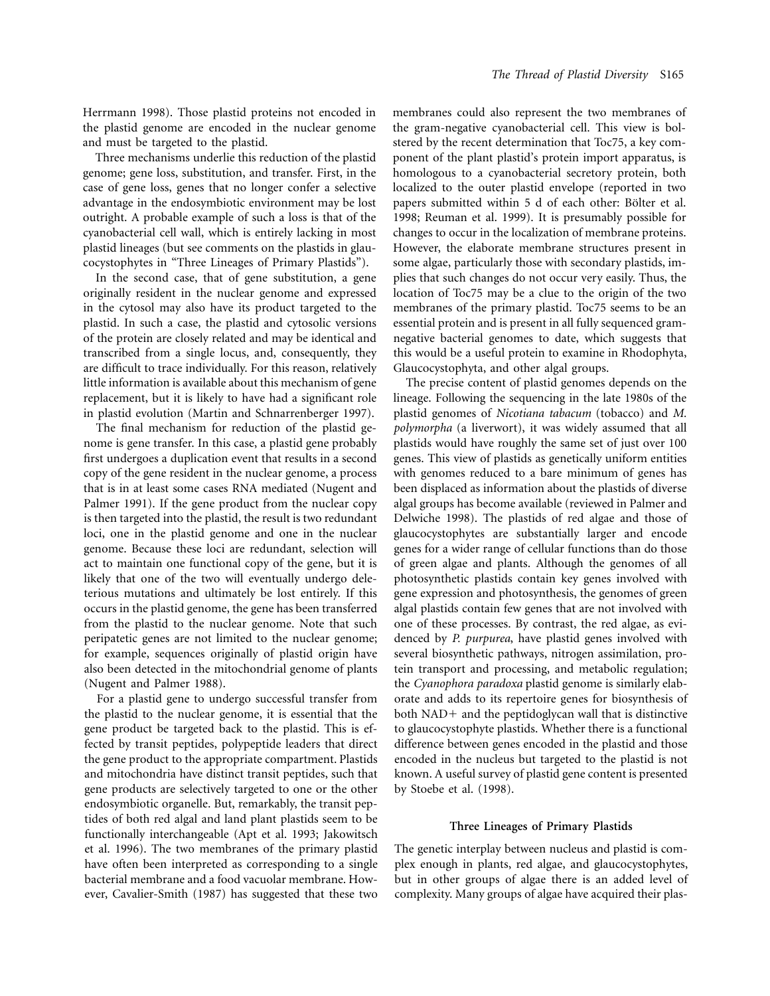Herrmann 1998). Those plastid proteins not encoded in the plastid genome are encoded in the nuclear genome and must be targeted to the plastid.

Three mechanisms underlie this reduction of the plastid genome; gene loss, substitution, and transfer. First, in the case of gene loss, genes that no longer confer a selective advantage in the endosymbiotic environment may be lost outright. A probable example of such a loss is that of the cyanobacterial cell wall, which is entirely lacking in most plastid lineages (but see comments on the plastids in glaucocystophytes in "Three Lineages of Primary Plastids").

In the second case, that of gene substitution, a gene originally resident in the nuclear genome and expressed in the cytosol may also have its product targeted to the plastid. In such a case, the plastid and cytosolic versions of the protein are closely related and may be identical and transcribed from a single locus, and, consequently, they are difficult to trace individually. For this reason, relatively little information is available about this mechanism of gene replacement, but it is likely to have had a significant role in plastid evolution (Martin and Schnarrenberger 1997).

The final mechanism for reduction of the plastid genome is gene transfer. In this case, a plastid gene probably first undergoes a duplication event that results in a second copy of the gene resident in the nuclear genome, a process that is in at least some cases RNA mediated (Nugent and Palmer 1991). If the gene product from the nuclear copy is then targeted into the plastid, the result is two redundant loci, one in the plastid genome and one in the nuclear genome. Because these loci are redundant, selection will act to maintain one functional copy of the gene, but it is likely that one of the two will eventually undergo deleterious mutations and ultimately be lost entirely. If this occurs in the plastid genome, the gene has been transferred from the plastid to the nuclear genome. Note that such peripatetic genes are not limited to the nuclear genome; for example, sequences originally of plastid origin have also been detected in the mitochondrial genome of plants (Nugent and Palmer 1988).

For a plastid gene to undergo successful transfer from the plastid to the nuclear genome, it is essential that the gene product be targeted back to the plastid. This is effected by transit peptides, polypeptide leaders that direct the gene product to the appropriate compartment. Plastids and mitochondria have distinct transit peptides, such that gene products are selectively targeted to one or the other endosymbiotic organelle. But, remarkably, the transit peptides of both red algal and land plant plastids seem to be functionally interchangeable (Apt et al. 1993; Jakowitsch et al. 1996). The two membranes of the primary plastid have often been interpreted as corresponding to a single bacterial membrane and a food vacuolar membrane. However, Cavalier-Smith (1987) has suggested that these two

membranes could also represent the two membranes of the gram-negative cyanobacterial cell. This view is bolstered by the recent determination that Toc75, a key component of the plant plastid's protein import apparatus, is homologous to a cyanobacterial secretory protein, both localized to the outer plastid envelope (reported in two papers submitted within 5 d of each other: Bölter et al. 1998; Reuman et al. 1999). It is presumably possible for changes to occur in the localization of membrane proteins. However, the elaborate membrane structures present in some algae, particularly those with secondary plastids, implies that such changes do not occur very easily. Thus, the location of Toc75 may be a clue to the origin of the two membranes of the primary plastid. Toc75 seems to be an essential protein and is present in all fully sequenced gramnegative bacterial genomes to date, which suggests that this would be a useful protein to examine in Rhodophyta, Glaucocystophyta, and other algal groups.

The precise content of plastid genomes depends on the lineage. Following the sequencing in the late 1980s of the plastid genomes of *Nicotiana tabacum* (tobacco) and *M. polymorpha* (a liverwort), it was widely assumed that all plastids would have roughly the same set of just over 100 genes. This view of plastids as genetically uniform entities with genomes reduced to a bare minimum of genes has been displaced as information about the plastids of diverse algal groups has become available (reviewed in Palmer and Delwiche 1998). The plastids of red algae and those of glaucocystophytes are substantially larger and encode genes for a wider range of cellular functions than do those of green algae and plants. Although the genomes of all photosynthetic plastids contain key genes involved with gene expression and photosynthesis, the genomes of green algal plastids contain few genes that are not involved with one of these processes. By contrast, the red algae, as evidenced by *P. purpurea*, have plastid genes involved with several biosynthetic pathways, nitrogen assimilation, protein transport and processing, and metabolic regulation; the *Cyanophora paradoxa* plastid genome is similarly elaborate and adds to its repertoire genes for biosynthesis of both  $NAD+$  and the peptidoglycan wall that is distinctive to glaucocystophyte plastids. Whether there is a functional difference between genes encoded in the plastid and those encoded in the nucleus but targeted to the plastid is not known. A useful survey of plastid gene content is presented by Stoebe et al. (1998).

#### **Three Lineages of Primary Plastids**

The genetic interplay between nucleus and plastid is complex enough in plants, red algae, and glaucocystophytes, but in other groups of algae there is an added level of complexity. Many groups of algae have acquired their plas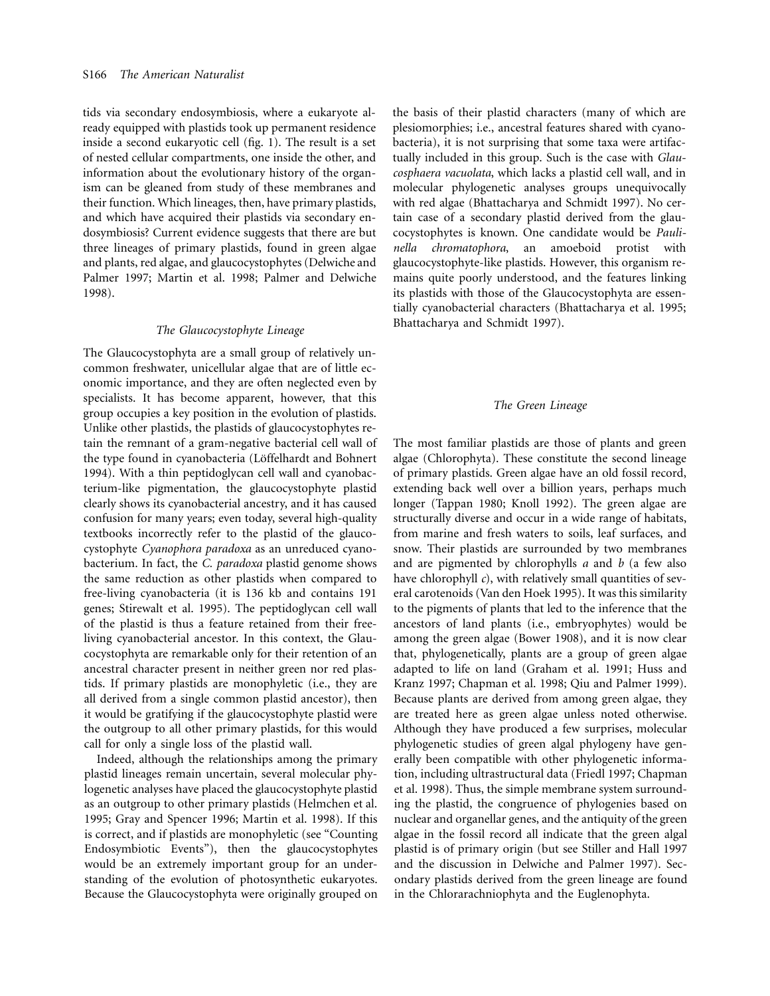tids via secondary endosymbiosis, where a eukaryote already equipped with plastids took up permanent residence inside a second eukaryotic cell (fig. 1). The result is a set of nested cellular compartments, one inside the other, and information about the evolutionary history of the organism can be gleaned from study of these membranes and their function. Which lineages, then, have primary plastids, and which have acquired their plastids via secondary endosymbiosis? Current evidence suggests that there are but three lineages of primary plastids, found in green algae and plants, red algae, and glaucocystophytes(Delwiche and Palmer 1997; Martin et al. 1998; Palmer and Delwiche 1998).

#### *The Glaucocystophyte Lineage*

The Glaucocystophyta are a small group of relatively uncommon freshwater, unicellular algae that are of little economic importance, and they are often neglected even by specialists. It has become apparent, however, that this group occupies a key position in the evolution of plastids. Unlike other plastids, the plastids of glaucocystophytes retain the remnant of a gram-negative bacterial cell wall of the type found in cyanobacteria (Löffelhardt and Bohnert 1994). With a thin peptidoglycan cell wall and cyanobacterium-like pigmentation, the glaucocystophyte plastid clearly shows its cyanobacterial ancestry, and it has caused confusion for many years; even today, several high-quality textbooks incorrectly refer to the plastid of the glaucocystophyte *Cyanophora paradoxa* as an unreduced cyanobacterium. In fact, the *C. paradoxa* plastid genome shows the same reduction as other plastids when compared to free-living cyanobacteria (it is 136 kb and contains 191 genes; Stirewalt et al. 1995). The peptidoglycan cell wall of the plastid is thus a feature retained from their freeliving cyanobacterial ancestor. In this context, the Glaucocystophyta are remarkable only for their retention of an ancestral character present in neither green nor red plastids. If primary plastids are monophyletic (i.e., they are all derived from a single common plastid ancestor), then it would be gratifying if the glaucocystophyte plastid were the outgroup to all other primary plastids, for this would call for only a single loss of the plastid wall.

Indeed, although the relationships among the primary plastid lineages remain uncertain, several molecular phylogenetic analyses have placed the glaucocystophyte plastid as an outgroup to other primary plastids (Helmchen et al. 1995; Gray and Spencer 1996; Martin et al. 1998). If this is correct, and if plastids are monophyletic (see "Counting Endosymbiotic Events"), then the glaucocystophytes would be an extremely important group for an understanding of the evolution of photosynthetic eukaryotes. Because the Glaucocystophyta were originally grouped on

the basis of their plastid characters (many of which are plesiomorphies; i.e., ancestral features shared with cyanobacteria), it is not surprising that some taxa were artifactually included in this group. Such is the case with *Glaucosphaera vacuolata*, which lacks a plastid cell wall, and in molecular phylogenetic analyses groups unequivocally with red algae (Bhattacharya and Schmidt 1997). No certain case of a secondary plastid derived from the glaucocystophytes is known. One candidate would be *Paulinella chromatophora*, an amoeboid protist with glaucocystophyte-like plastids. However, this organism remains quite poorly understood, and the features linking its plastids with those of the Glaucocystophyta are essentially cyanobacterial characters (Bhattacharya et al. 1995; Bhattacharya and Schmidt 1997).

#### *The Green Lineage*

The most familiar plastids are those of plants and green algae (Chlorophyta). These constitute the second lineage of primary plastids. Green algae have an old fossil record, extending back well over a billion years, perhaps much longer (Tappan 1980; Knoll 1992). The green algae are structurally diverse and occur in a wide range of habitats, from marine and fresh waters to soils, leaf surfaces, and snow. Their plastids are surrounded by two membranes and are pigmented by chlorophylls *a* and *b* (a few also have chlorophyll *c*), with relatively small quantities of several carotenoids (Van den Hoek 1995). It was this similarity to the pigments of plants that led to the inference that the ancestors of land plants (i.e., embryophytes) would be among the green algae (Bower 1908), and it is now clear that, phylogenetically, plants are a group of green algae adapted to life on land (Graham et al. 1991; Huss and Kranz 1997; Chapman et al. 1998; Qiu and Palmer 1999). Because plants are derived from among green algae, they are treated here as green algae unless noted otherwise. Although they have produced a few surprises, molecular phylogenetic studies of green algal phylogeny have generally been compatible with other phylogenetic information, including ultrastructural data (Friedl 1997; Chapman et al. 1998). Thus, the simple membrane system surrounding the plastid, the congruence of phylogenies based on nuclear and organellar genes, and the antiquity of the green algae in the fossil record all indicate that the green algal plastid is of primary origin (but see Stiller and Hall 1997 and the discussion in Delwiche and Palmer 1997). Secondary plastids derived from the green lineage are found in the Chlorarachniophyta and the Euglenophyta.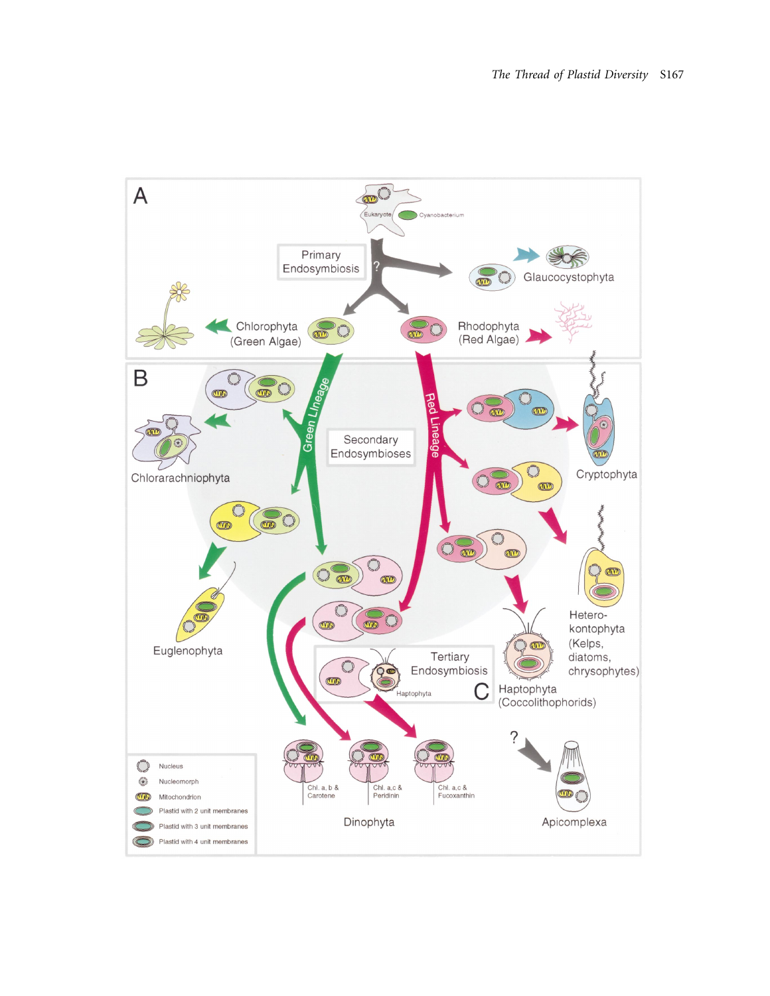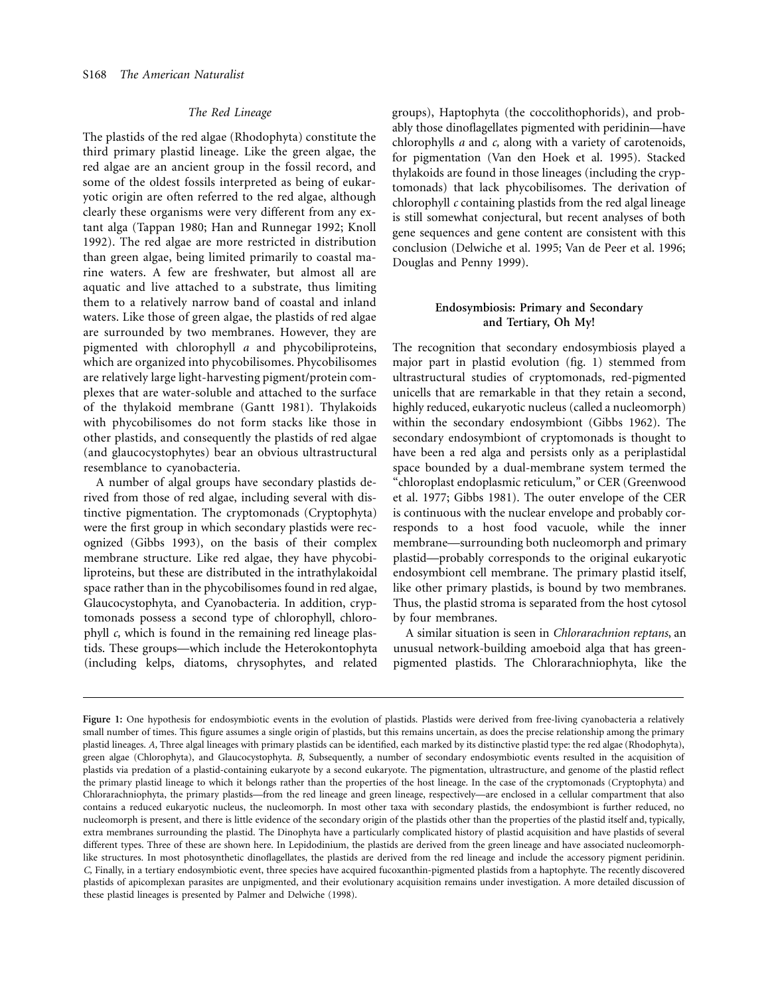#### *The Red Lineage*

The plastids of the red algae (Rhodophyta) constitute the third primary plastid lineage. Like the green algae, the red algae are an ancient group in the fossil record, and some of the oldest fossils interpreted as being of eukaryotic origin are often referred to the red algae, although clearly these organisms were very different from any extant alga (Tappan 1980; Han and Runnegar 1992; Knoll 1992). The red algae are more restricted in distribution than green algae, being limited primarily to coastal marine waters. A few are freshwater, but almost all are aquatic and live attached to a substrate, thus limiting them to a relatively narrow band of coastal and inland waters. Like those of green algae, the plastids of red algae are surrounded by two membranes. However, they are pigmented with chlorophyll *a* and phycobiliproteins, which are organized into phycobilisomes. Phycobilisomes are relatively large light-harvesting pigment/protein complexes that are water-soluble and attached to the surface of the thylakoid membrane (Gantt 1981). Thylakoids with phycobilisomes do not form stacks like those in other plastids, and consequently the plastids of red algae (and glaucocystophytes) bear an obvious ultrastructural resemblance to cyanobacteria.

A number of algal groups have secondary plastids derived from those of red algae, including several with distinctive pigmentation. The cryptomonads (Cryptophyta) were the first group in which secondary plastids were recognized (Gibbs 1993), on the basis of their complex membrane structure. Like red algae, they have phycobiliproteins, but these are distributed in the intrathylakoidal space rather than in the phycobilisomes found in red algae, Glaucocystophyta, and Cyanobacteria. In addition, cryptomonads possess a second type of chlorophyll, chlorophyll *c,* which is found in the remaining red lineage plastids. These groups—which include the Heterokontophyta (including kelps, diatoms, chrysophytes, and related groups), Haptophyta (the coccolithophorids), and probably those dinoflagellates pigmented with peridinin—have chlorophylls *a* and *c,* along with a variety of carotenoids, for pigmentation (Van den Hoek et al. 1995). Stacked thylakoids are found in those lineages (including the cryptomonads) that lack phycobilisomes. The derivation of chlorophyll *c* containing plastids from the red algal lineage is still somewhat conjectural, but recent analyses of both gene sequences and gene content are consistent with this conclusion (Delwiche et al. 1995; Van de Peer et al. 1996; Douglas and Penny 1999).

## **Endosymbiosis: Primary and Secondary and Tertiary, Oh My!**

The recognition that secondary endosymbiosis played a major part in plastid evolution (fig. 1) stemmed from ultrastructural studies of cryptomonads, red-pigmented unicells that are remarkable in that they retain a second, highly reduced, eukaryotic nucleus (called a nucleomorph) within the secondary endosymbiont (Gibbs 1962). The secondary endosymbiont of cryptomonads is thought to have been a red alga and persists only as a periplastidal space bounded by a dual-membrane system termed the "chloroplast endoplasmic reticulum," or CER (Greenwood et al. 1977; Gibbs 1981). The outer envelope of the CER is continuous with the nuclear envelope and probably corresponds to a host food vacuole, while the inner membrane—surrounding both nucleomorph and primary plastid—probably corresponds to the original eukaryotic endosymbiont cell membrane. The primary plastid itself, like other primary plastids, is bound by two membranes. Thus, the plastid stroma is separated from the host cytosol by four membranes.

A similar situation is seen in *Chlorarachnion reptans*, an unusual network-building amoeboid alga that has greenpigmented plastids. The Chlorarachniophyta, like the

Figure 1: One hypothesis for endosymbiotic events in the evolution of plastids. Plastids were derived from free-living cyanobacteria a relatively small number of times. This figure assumes a single origin of plastids, but this remains uncertain, as does the precise relationship among the primary plastid lineages. *A,* Three algal lineages with primary plastids can be identified, each marked by its distinctive plastid type: the red algae (Rhodophyta), green algae (Chlorophyta), and Glaucocystophyta. *B,* Subsequently, a number of secondary endosymbiotic events resulted in the acquisition of plastids via predation of a plastid-containing eukaryote by a second eukaryote. The pigmentation, ultrastructure, and genome of the plastid reflect the primary plastid lineage to which it belongs rather than the properties of the host lineage. In the case of the cryptomonads (Cryptophyta) and Chlorarachniophyta, the primary plastids—from the red lineage and green lineage, respectively—are enclosed in a cellular compartment that also contains a reduced eukaryotic nucleus, the nucleomorph. In most other taxa with secondary plastids, the endosymbiont is further reduced, no nucleomorph is present, and there is little evidence of the secondary origin of the plastids other than the properties of the plastid itself and, typically, extra membranes surrounding the plastid. The Dinophyta have a particularly complicated history of plastid acquisition and have plastids of several different types. Three of these are shown here. In Lepidodinium, the plastids are derived from the green lineage and have associated nucleomorphlike structures. In most photosynthetic dinoflagellates, the plastids are derived from the red lineage and include the accessory pigment peridinin. *C,* Finally, in a tertiary endosymbiotic event, three species have acquired fucoxanthin-pigmented plastids from a haptophyte. The recently discovered plastids of apicomplexan parasites are unpigmented, and their evolutionary acquisition remains under investigation. A more detailed discussion of these plastid lineages is presented by Palmer and Delwiche (1998).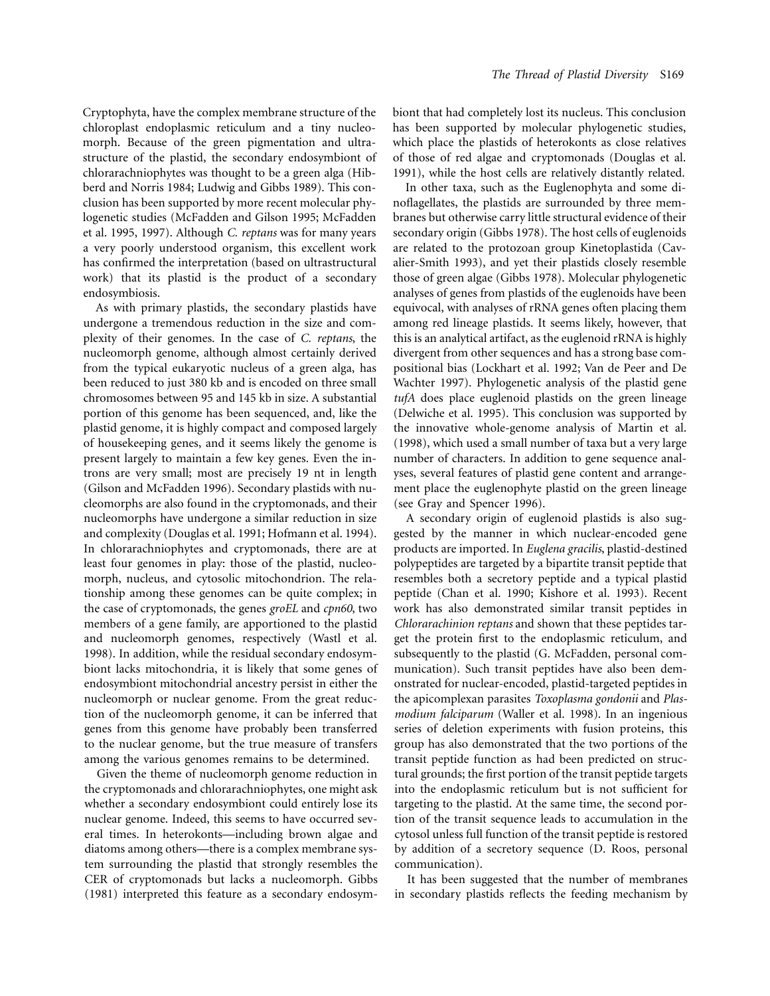Cryptophyta, have the complex membrane structure of the chloroplast endoplasmic reticulum and a tiny nucleomorph. Because of the green pigmentation and ultrastructure of the plastid, the secondary endosymbiont of chlorarachniophytes was thought to be a green alga (Hibberd and Norris 1984; Ludwig and Gibbs 1989). This conclusion has been supported by more recent molecular phylogenetic studies (McFadden and Gilson 1995; McFadden et al. 1995, 1997). Although *C. reptans* was for many years a very poorly understood organism, this excellent work has confirmed the interpretation (based on ultrastructural work) that its plastid is the product of a secondary endosymbiosis.

As with primary plastids, the secondary plastids have undergone a tremendous reduction in the size and complexity of their genomes. In the case of *C. reptans*, the nucleomorph genome, although almost certainly derived from the typical eukaryotic nucleus of a green alga, has been reduced to just 380 kb and is encoded on three small chromosomes between 95 and 145 kb in size. A substantial portion of this genome has been sequenced, and, like the plastid genome, it is highly compact and composed largely of housekeeping genes, and it seems likely the genome is present largely to maintain a few key genes. Even the introns are very small; most are precisely 19 nt in length (Gilson and McFadden 1996). Secondary plastids with nucleomorphs are also found in the cryptomonads, and their nucleomorphs have undergone a similar reduction in size and complexity (Douglas et al. 1991; Hofmann et al. 1994). In chlorarachniophytes and cryptomonads, there are at least four genomes in play: those of the plastid, nucleomorph, nucleus, and cytosolic mitochondrion. The relationship among these genomes can be quite complex; in the case of cryptomonads, the genes *groEL* and *cpn60*, two members of a gene family, are apportioned to the plastid and nucleomorph genomes, respectively (Wastl et al. 1998). In addition, while the residual secondary endosymbiont lacks mitochondria, it is likely that some genes of endosymbiont mitochondrial ancestry persist in either the nucleomorph or nuclear genome. From the great reduction of the nucleomorph genome, it can be inferred that genes from this genome have probably been transferred to the nuclear genome, but the true measure of transfers among the various genomes remains to be determined.

Given the theme of nucleomorph genome reduction in the cryptomonads and chlorarachniophytes, one might ask whether a secondary endosymbiont could entirely lose its nuclear genome. Indeed, this seems to have occurred several times. In heterokonts—including brown algae and diatoms among others—there is a complex membrane system surrounding the plastid that strongly resembles the CER of cryptomonads but lacks a nucleomorph. Gibbs (1981) interpreted this feature as a secondary endosymbiont that had completely lost its nucleus. This conclusion has been supported by molecular phylogenetic studies, which place the plastids of heterokonts as close relatives of those of red algae and cryptomonads (Douglas et al. 1991), while the host cells are relatively distantly related.

In other taxa, such as the Euglenophyta and some dinoflagellates, the plastids are surrounded by three membranes but otherwise carry little structural evidence of their secondary origin (Gibbs 1978). The host cells of euglenoids are related to the protozoan group Kinetoplastida (Cavalier-Smith 1993), and yet their plastids closely resemble those of green algae (Gibbs 1978). Molecular phylogenetic analyses of genes from plastids of the euglenoids have been equivocal, with analyses of rRNA genes often placing them among red lineage plastids. It seems likely, however, that this is an analytical artifact, as the euglenoid rRNA is highly divergent from other sequences and has a strong base compositional bias (Lockhart et al. 1992; Van de Peer and De Wachter 1997). Phylogenetic analysis of the plastid gene *tufA* does place euglenoid plastids on the green lineage (Delwiche et al. 1995). This conclusion was supported by the innovative whole-genome analysis of Martin et al. (1998), which used a small number of taxa but a very large number of characters. In addition to gene sequence analyses, several features of plastid gene content and arrangement place the euglenophyte plastid on the green lineage (see Gray and Spencer 1996).

A secondary origin of euglenoid plastids is also suggested by the manner in which nuclear-encoded gene products are imported. In *Euglena gracilis*, plastid-destined polypeptides are targeted by a bipartite transit peptide that resembles both a secretory peptide and a typical plastid peptide (Chan et al. 1990; Kishore et al. 1993). Recent work has also demonstrated similar transit peptides in *Chlorarachinion reptans* and shown that these peptides target the protein first to the endoplasmic reticulum, and subsequently to the plastid (G. McFadden, personal communication). Such transit peptides have also been demonstrated for nuclear-encoded, plastid-targeted peptides in the apicomplexan parasites *Toxoplasma gondonii* and *Plasmodium falciparum* (Waller et al. 1998). In an ingenious series of deletion experiments with fusion proteins, this group has also demonstrated that the two portions of the transit peptide function as had been predicted on structural grounds; the first portion of the transit peptide targets into the endoplasmic reticulum but is not sufficient for targeting to the plastid. At the same time, the second portion of the transit sequence leads to accumulation in the cytosol unless full function of the transit peptide is restored by addition of a secretory sequence (D. Roos, personal communication).

It has been suggested that the number of membranes in secondary plastids reflects the feeding mechanism by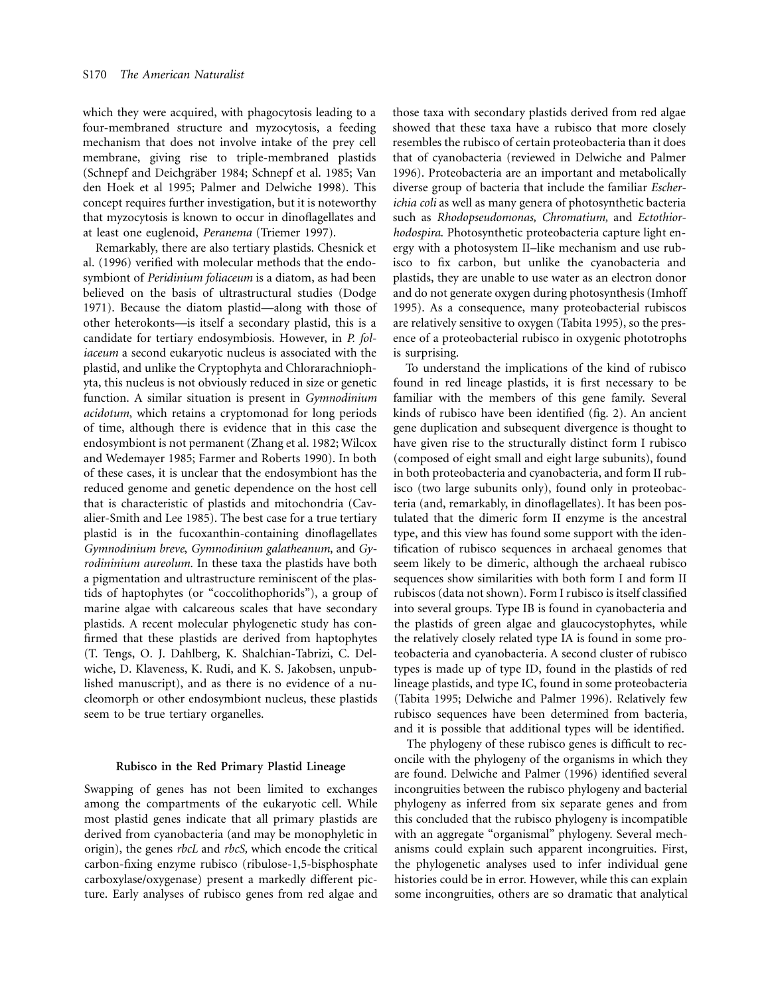which they were acquired, with phagocytosis leading to a four-membraned structure and myzocytosis, a feeding mechanism that does not involve intake of the prey cell membrane, giving rise to triple-membraned plastids (Schnepf and Deichgräber 1984; Schnepf et al. 1985; Van den Hoek et al 1995; Palmer and Delwiche 1998). This concept requires further investigation, but it is noteworthy that myzocytosis is known to occur in dinoflagellates and at least one euglenoid, *Peranema* (Triemer 1997).

Remarkably, there are also tertiary plastids. Chesnick et al. (1996) verified with molecular methods that the endosymbiont of *Peridinium foliaceum* is a diatom, as had been believed on the basis of ultrastructural studies (Dodge 1971). Because the diatom plastid—along with those of other heterokonts—is itself a secondary plastid, this is a candidate for tertiary endosymbiosis. However, in *P. foliaceum* a second eukaryotic nucleus is associated with the plastid, and unlike the Cryptophyta and Chlorarachniophyta, this nucleus is not obviously reduced in size or genetic function. A similar situation is present in *Gymnodinium acidotum*, which retains a cryptomonad for long periods of time, although there is evidence that in this case the endosymbiont is not permanent (Zhang et al. 1982; Wilcox and Wedemayer 1985; Farmer and Roberts 1990). In both of these cases, it is unclear that the endosymbiont has the reduced genome and genetic dependence on the host cell that is characteristic of plastids and mitochondria (Cavalier-Smith and Lee 1985). The best case for a true tertiary plastid is in the fucoxanthin-containing dinoflagellates *Gymnodinium breve*, *Gymnodinium galatheanum*, and *Gyrodininium aureolum.* In these taxa the plastids have both a pigmentation and ultrastructure reminiscent of the plastids of haptophytes (or "coccolithophorids"), a group of marine algae with calcareous scales that have secondary plastids. A recent molecular phylogenetic study has confirmed that these plastids are derived from haptophytes (T. Tengs, O. J. Dahlberg, K. Shalchian-Tabrizi, C. Delwiche, D. Klaveness, K. Rudi, and K. S. Jakobsen, unpublished manuscript), and as there is no evidence of a nucleomorph or other endosymbiont nucleus, these plastids seem to be true tertiary organelles.

#### **Rubisco in the Red Primary Plastid Lineage**

Swapping of genes has not been limited to exchanges among the compartments of the eukaryotic cell. While most plastid genes indicate that all primary plastids are derived from cyanobacteria (and may be monophyletic in origin), the genes *rbcL* and *rbcS,* which encode the critical carbon-fixing enzyme rubisco (ribulose-1,5-bisphosphate carboxylase/oxygenase) present a markedly different picture. Early analyses of rubisco genes from red algae and those taxa with secondary plastids derived from red algae showed that these taxa have a rubisco that more closely resembles the rubisco of certain proteobacteria than it does that of cyanobacteria (reviewed in Delwiche and Palmer 1996). Proteobacteria are an important and metabolically diverse group of bacteria that include the familiar *Escherichia coli* as well as many genera of photosynthetic bacteria such as *Rhodopseudomonas, Chromatium,* and *Ectothiorhodospira*. Photosynthetic proteobacteria capture light energy with a photosystem II–like mechanism and use rubisco to fix carbon, but unlike the cyanobacteria and plastids, they are unable to use water as an electron donor and do not generate oxygen during photosynthesis(Imhoff 1995). As a consequence, many proteobacterial rubiscos are relatively sensitive to oxygen (Tabita 1995), so the presence of a proteobacterial rubisco in oxygenic phototrophs is surprising.

To understand the implications of the kind of rubisco found in red lineage plastids, it is first necessary to be familiar with the members of this gene family. Several kinds of rubisco have been identified (fig. 2). An ancient gene duplication and subsequent divergence is thought to have given rise to the structurally distinct form I rubisco (composed of eight small and eight large subunits), found in both proteobacteria and cyanobacteria, and form II rubisco (two large subunits only), found only in proteobacteria (and, remarkably, in dinoflagellates). It has been postulated that the dimeric form II enzyme is the ancestral type, and this view has found some support with the identification of rubisco sequences in archaeal genomes that seem likely to be dimeric, although the archaeal rubisco sequences show similarities with both form I and form II rubiscos (data not shown). Form I rubisco is itself classified into several groups. Type IB is found in cyanobacteria and the plastids of green algae and glaucocystophytes, while the relatively closely related type IA is found in some proteobacteria and cyanobacteria. A second cluster of rubisco types is made up of type ID, found in the plastids of red lineage plastids, and type IC, found in some proteobacteria (Tabita 1995; Delwiche and Palmer 1996). Relatively few rubisco sequences have been determined from bacteria, and it is possible that additional types will be identified.

The phylogeny of these rubisco genes is difficult to reconcile with the phylogeny of the organisms in which they are found. Delwiche and Palmer (1996) identified several incongruities between the rubisco phylogeny and bacterial phylogeny as inferred from six separate genes and from this concluded that the rubisco phylogeny is incompatible with an aggregate "organismal" phylogeny. Several mechanisms could explain such apparent incongruities. First, the phylogenetic analyses used to infer individual gene histories could be in error. However, while this can explain some incongruities, others are so dramatic that analytical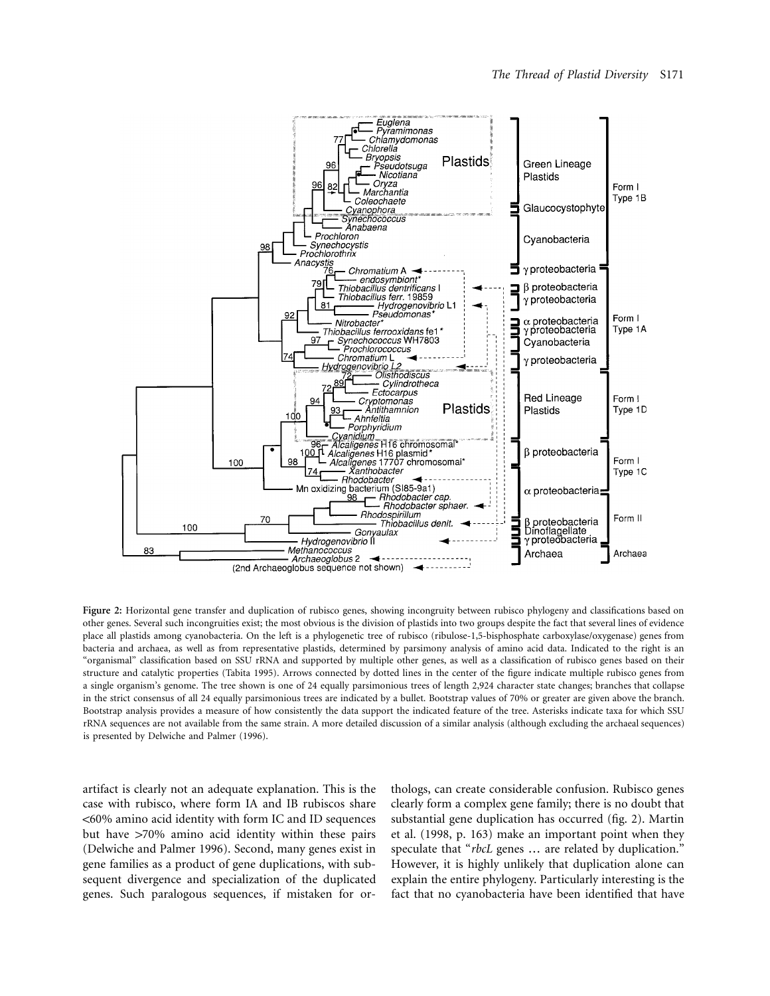

**Figure 2:** Horizontal gene transfer and duplication of rubisco genes, showing incongruity between rubisco phylogeny and classifications based on other genes. Several such incongruities exist; the most obvious is the division of plastids into two groups despite the fact that several lines of evidence place all plastids among cyanobacteria. On the left is a phylogenetic tree of rubisco (ribulose-1,5-bisphosphate carboxylase/oxygenase) genes from bacteria and archaea, as well as from representative plastids, determined by parsimony analysis of amino acid data. Indicated to the right is an "organismal" classification based on SSU rRNA and supported by multiple other genes, as well as a classification of rubisco genes based on their structure and catalytic properties (Tabita 1995). Arrows connected by dotted lines in the center of the figure indicate multiple rubisco genes from a single organism's genome. The tree shown is one of 24 equally parsimonious trees of length 2,924 character state changes; branches that collapse in the strict consensus of all 24 equally parsimonious trees are indicated by a bullet. Bootstrap values of 70% or greater are given above the branch. Bootstrap analysis provides a measure of how consistently the data support the indicated feature of the tree. Asterisks indicate taxa for which SSU rRNA sequences are not available from the same strain. A more detailed discussion of a similar analysis (although excluding the archaeal sequences) is presented by Delwiche and Palmer (1996).

artifact is clearly not an adequate explanation. This is the case with rubisco, where form IA and IB rubiscos share !60% amino acid identity with form IC and ID sequences but have >70% amino acid identity within these pairs (Delwiche and Palmer 1996). Second, many genes exist in gene families as a product of gene duplications, with subsequent divergence and specialization of the duplicated genes. Such paralogous sequences, if mistaken for or-

thologs, can create considerable confusion. Rubisco genes clearly form a complex gene family; there is no doubt that substantial gene duplication has occurred (fig. 2). Martin et al. (1998, p. 163) make an important point when they speculate that "*rbcL* genes ... are related by duplication." However, it is highly unlikely that duplication alone can explain the entire phylogeny. Particularly interesting is the fact that no cyanobacteria have been identified that have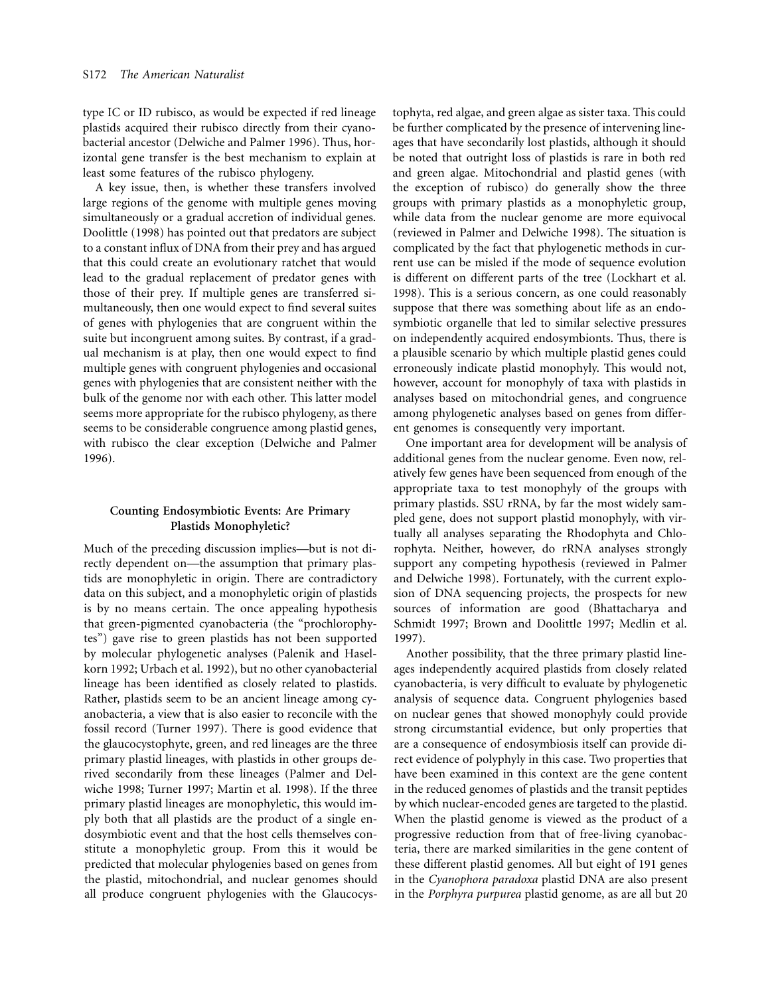type IC or ID rubisco, as would be expected if red lineage plastids acquired their rubisco directly from their cyanobacterial ancestor (Delwiche and Palmer 1996). Thus, horizontal gene transfer is the best mechanism to explain at least some features of the rubisco phylogeny.

A key issue, then, is whether these transfers involved large regions of the genome with multiple genes moving simultaneously or a gradual accretion of individual genes. Doolittle (1998) has pointed out that predators are subject to a constant influx of DNA from their prey and has argued that this could create an evolutionary ratchet that would lead to the gradual replacement of predator genes with those of their prey. If multiple genes are transferred simultaneously, then one would expect to find several suites of genes with phylogenies that are congruent within the suite but incongruent among suites. By contrast, if a gradual mechanism is at play, then one would expect to find multiple genes with congruent phylogenies and occasional genes with phylogenies that are consistent neither with the bulk of the genome nor with each other. This latter model seems more appropriate for the rubisco phylogeny, as there seems to be considerable congruence among plastid genes, with rubisco the clear exception (Delwiche and Palmer 1996).

# **Counting Endosymbiotic Events: Are Primary Plastids Monophyletic?**

Much of the preceding discussion implies—but is not directly dependent on—the assumption that primary plastids are monophyletic in origin. There are contradictory data on this subject, and a monophyletic origin of plastids is by no means certain. The once appealing hypothesis that green-pigmented cyanobacteria (the "prochlorophytes") gave rise to green plastids has not been supported by molecular phylogenetic analyses (Palenik and Haselkorn 1992; Urbach et al. 1992), but no other cyanobacterial lineage has been identified as closely related to plastids. Rather, plastids seem to be an ancient lineage among cyanobacteria, a view that is also easier to reconcile with the fossil record (Turner 1997). There is good evidence that the glaucocystophyte, green, and red lineages are the three primary plastid lineages, with plastids in other groups derived secondarily from these lineages (Palmer and Delwiche 1998; Turner 1997; Martin et al. 1998). If the three primary plastid lineages are monophyletic, this would imply both that all plastids are the product of a single endosymbiotic event and that the host cells themselves constitute a monophyletic group. From this it would be predicted that molecular phylogenies based on genes from the plastid, mitochondrial, and nuclear genomes should all produce congruent phylogenies with the Glaucocystophyta, red algae, and green algae as sister taxa. This could be further complicated by the presence of intervening lineages that have secondarily lost plastids, although it should be noted that outright loss of plastids is rare in both red and green algae. Mitochondrial and plastid genes (with the exception of rubisco) do generally show the three groups with primary plastids as a monophyletic group, while data from the nuclear genome are more equivocal (reviewed in Palmer and Delwiche 1998). The situation is complicated by the fact that phylogenetic methods in current use can be misled if the mode of sequence evolution is different on different parts of the tree (Lockhart et al. 1998). This is a serious concern, as one could reasonably suppose that there was something about life as an endosymbiotic organelle that led to similar selective pressures on independently acquired endosymbionts. Thus, there is a plausible scenario by which multiple plastid genes could erroneously indicate plastid monophyly. This would not, however, account for monophyly of taxa with plastids in analyses based on mitochondrial genes, and congruence among phylogenetic analyses based on genes from different genomes is consequently very important.

One important area for development will be analysis of additional genes from the nuclear genome. Even now, relatively few genes have been sequenced from enough of the appropriate taxa to test monophyly of the groups with primary plastids. SSU rRNA, by far the most widely sampled gene, does not support plastid monophyly, with virtually all analyses separating the Rhodophyta and Chlorophyta. Neither, however, do rRNA analyses strongly support any competing hypothesis (reviewed in Palmer and Delwiche 1998). Fortunately, with the current explosion of DNA sequencing projects, the prospects for new sources of information are good (Bhattacharya and Schmidt 1997; Brown and Doolittle 1997; Medlin et al. 1997).

Another possibility, that the three primary plastid lineages independently acquired plastids from closely related cyanobacteria, is very difficult to evaluate by phylogenetic analysis of sequence data. Congruent phylogenies based on nuclear genes that showed monophyly could provide strong circumstantial evidence, but only properties that are a consequence of endosymbiosis itself can provide direct evidence of polyphyly in this case. Two properties that have been examined in this context are the gene content in the reduced genomes of plastids and the transit peptides by which nuclear-encoded genes are targeted to the plastid. When the plastid genome is viewed as the product of a progressive reduction from that of free-living cyanobacteria, there are marked similarities in the gene content of these different plastid genomes. All but eight of 191 genes in the *Cyanophora paradoxa* plastid DNA are also present in the *Porphyra purpurea* plastid genome, as are all but 20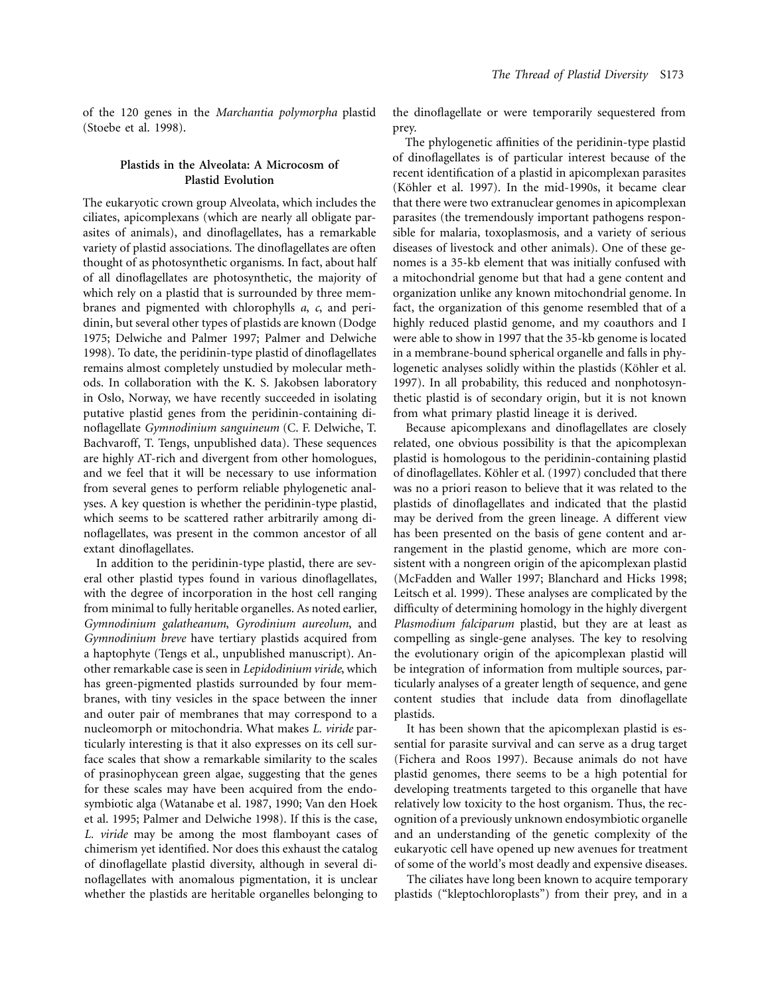of the 120 genes in the *Marchantia polymorpha* plastid (Stoebe et al. 1998).

### **Plastids in the Alveolata: A Microcosm of Plastid Evolution**

The eukaryotic crown group Alveolata, which includes the ciliates, apicomplexans (which are nearly all obligate parasites of animals), and dinoflagellates, has a remarkable variety of plastid associations. The dinoflagellates are often thought of as photosynthetic organisms. In fact, about half of all dinoflagellates are photosynthetic, the majority of which rely on a plastid that is surrounded by three membranes and pigmented with chlorophylls *a*, *c*, and peridinin, but several other types of plastids are known (Dodge 1975; Delwiche and Palmer 1997; Palmer and Delwiche 1998). To date, the peridinin-type plastid of dinoflagellates remains almost completely unstudied by molecular methods. In collaboration with the K. S. Jakobsen laboratory in Oslo, Norway, we have recently succeeded in isolating putative plastid genes from the peridinin-containing dinoflagellate *Gymnodinium sanguineum* (C. F. Delwiche, T. Bachvaroff, T. Tengs, unpublished data). These sequences are highly AT-rich and divergent from other homologues, and we feel that it will be necessary to use information from several genes to perform reliable phylogenetic analyses. A key question is whether the peridinin-type plastid, which seems to be scattered rather arbitrarily among dinoflagellates, was present in the common ancestor of all extant dinoflagellates.

In addition to the peridinin-type plastid, there are several other plastid types found in various dinoflagellates, with the degree of incorporation in the host cell ranging from minimal to fully heritable organelles. As noted earlier, *Gymnodinium galatheanum*, *Gyrodinium aureolum*, and *Gymnodinium breve* have tertiary plastids acquired from a haptophyte (Tengs et al., unpublished manuscript). Another remarkable case is seen in *Lepidodinium viride*, which has green-pigmented plastids surrounded by four membranes, with tiny vesicles in the space between the inner and outer pair of membranes that may correspond to a nucleomorph or mitochondria. What makes *L. viride* particularly interesting is that it also expresses on its cell surface scales that show a remarkable similarity to the scales of prasinophycean green algae, suggesting that the genes for these scales may have been acquired from the endosymbiotic alga (Watanabe et al. 1987, 1990; Van den Hoek et al. 1995; Palmer and Delwiche 1998). If this is the case, *L. viride* may be among the most flamboyant cases of chimerism yet identified. Nor does this exhaust the catalog of dinoflagellate plastid diversity, although in several dinoflagellates with anomalous pigmentation, it is unclear whether the plastids are heritable organelles belonging to

the dinoflagellate or were temporarily sequestered from prey.

The phylogenetic affinities of the peridinin-type plastid of dinoflagellates is of particular interest because of the recent identification of a plastid in apicomplexan parasites (Köhler et al. 1997). In the mid-1990s, it became clear that there were two extranuclear genomes in apicomplexan parasites (the tremendously important pathogens responsible for malaria, toxoplasmosis, and a variety of serious diseases of livestock and other animals). One of these genomes is a 35-kb element that was initially confused with a mitochondrial genome but that had a gene content and organization unlike any known mitochondrial genome. In fact, the organization of this genome resembled that of a highly reduced plastid genome, and my coauthors and I were able to show in 1997 that the 35-kb genome is located in a membrane-bound spherical organelle and falls in phylogenetic analyses solidly within the plastids (Köhler et al. 1997). In all probability, this reduced and nonphotosynthetic plastid is of secondary origin, but it is not known from what primary plastid lineage it is derived.

Because apicomplexans and dinoflagellates are closely related, one obvious possibility is that the apicomplexan plastid is homologous to the peridinin-containing plastid of dinoflagellates. Köhler et al. (1997) concluded that there was no a priori reason to believe that it was related to the plastids of dinoflagellates and indicated that the plastid may be derived from the green lineage. A different view has been presented on the basis of gene content and arrangement in the plastid genome, which are more consistent with a nongreen origin of the apicomplexan plastid (McFadden and Waller 1997; Blanchard and Hicks 1998; Leitsch et al. 1999). These analyses are complicated by the difficulty of determining homology in the highly divergent *Plasmodium falciparum* plastid, but they are at least as compelling as single-gene analyses. The key to resolving the evolutionary origin of the apicomplexan plastid will be integration of information from multiple sources, particularly analyses of a greater length of sequence, and gene content studies that include data from dinoflagellate plastids.

It has been shown that the apicomplexan plastid is essential for parasite survival and can serve as a drug target (Fichera and Roos 1997). Because animals do not have plastid genomes, there seems to be a high potential for developing treatments targeted to this organelle that have relatively low toxicity to the host organism. Thus, the recognition of a previously unknown endosymbiotic organelle and an understanding of the genetic complexity of the eukaryotic cell have opened up new avenues for treatment of some of the world's most deadly and expensive diseases.

The ciliates have long been known to acquire temporary plastids ("kleptochloroplasts") from their prey, and in a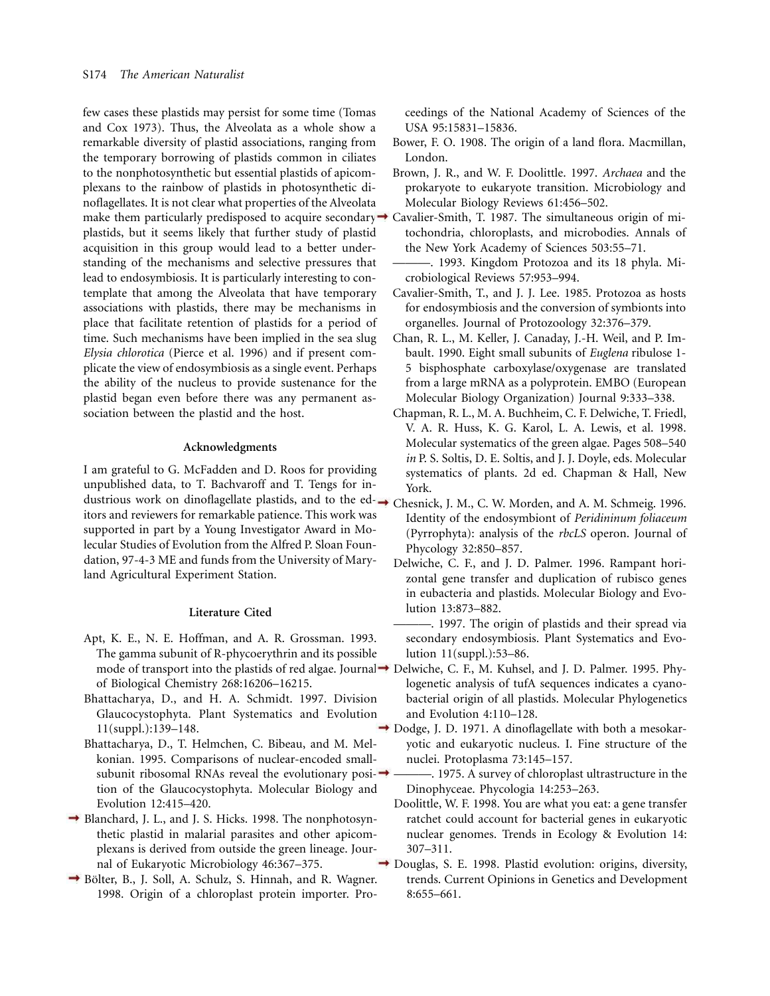few cases these plastids may persist for some time (Tomas and Cox 1973). Thus, the Alveolata as a whole show a remarkable diversity of plastid associations, ranging from the temporary borrowing of plastids common in ciliates to the nonphotosynthetic but essential plastids of apicomplexans to the rainbow of plastids in photosynthetic dinoflagellates. It is not clear what properties of the Alveolata make them particularly predisposed to acquire secondary  $\rightarrow$  Cavalier-Smith, T. 1987. The simultaneous origin of miplastids, but it seems likely that further study of plastid acquisition in this group would lead to a better understanding of the mechanisms and selective pressures that lead to endosymbiosis. It is particularly interesting to contemplate that among the Alveolata that have temporary associations with plastids, there may be mechanisms in place that facilitate retention of plastids for a period of time. Such mechanisms have been implied in the sea slug *Elysia chlorotica* (Pierce et al. 1996) and if present complicate the view of endosymbiosis as a single event. Perhaps the ability of the nucleus to provide sustenance for the plastid began even before there was any permanent association between the plastid and the host.

#### **Acknowledgments**

I am grateful to G. McFadden and D. Roos for providing unpublished data, to T. Bachvaroff and T. Tengs for industrious work on dinoflagellate plastids, and to the editors and reviewers for remarkable patience. This work was supported in part by a Young Investigator Award in Molecular Studies of Evolution from the Alfred P. Sloan Foundation, 97-4-3 ME and funds from the University of Maryland Agricultural Experiment Station.

#### **Literature Cited**

- Apt, K. E., N. E. Hoffman, and A. R. Grossman. 1993. The gamma subunit of R-phycoerythrin and its possible of Biological Chemistry 268:16206–16215.
- Bhattacharya, D., and H. A. Schmidt. 1997. Division Glaucocystophyta. Plant Systematics and Evolution 11(suppl.):139–148.
- Bhattacharya, D., T. Helmchen, C. Bibeau, and M. Melkonian. 1995. Comparisons of nuclear-encoded smallsubunit ribosomal RNAs reveal the evolutionary posi- $\rightarrow$ tion of the Glaucocystophyta. Molecular Biology and Evolution 12:415–420.
- → Blanchard, J. L., and J. S. Hicks. 1998. The nonphotosynthetic plastid in malarial parasites and other apicomplexans is derived from outside the green lineage. Journal of Eukaryotic Microbiology 46:367–375.
- $\rightarrow$  Bölter, B., J. Soll, A. Schulz, S. Hinnah, and R. Wagner. 1998. Origin of a chloroplast protein importer. Pro-

ceedings of the National Academy of Sciences of the USA 95:15831–15836.

- Bower, F. O. 1908. The origin of a land flora. Macmillan, London.
- Brown, J. R., and W. F. Doolittle. 1997. *Archaea* and the prokaryote to eukaryote transition. Microbiology and Molecular Biology Reviews 61:456–502.
- tochondria, chloroplasts, and microbodies. Annals of the New York Academy of Sciences 503:55–71.
- -. 1993. Kingdom Protozoa and its 18 phyla. Microbiological Reviews 57:953–994.
- Cavalier-Smith, T., and J. J. Lee. 1985. Protozoa as hosts for endosymbiosis and the conversion of symbionts into organelles. Journal of Protozoology 32:376–379.
- Chan, R. L., M. Keller, J. Canaday, J.-H. Weil, and P. Imbault. 1990. Eight small subunits of *Euglena* ribulose 1- 5 bisphosphate carboxylase/oxygenase are translated from a large mRNA as a polyprotein. EMBO (European Molecular Biology Organization) Journal 9:333–338.
- Chapman, R. L., M. A. Buchheim, C. F. Delwiche, T. Friedl, V. A. R. Huss, K. G. Karol, L. A. Lewis, et al. 1998. Molecular systematics of the green algae. Pages 508–540 *in* P. S. Soltis, D. E. Soltis, and J. J. Doyle, eds. Molecular systematics of plants. 2d ed. Chapman & Hall, New York.
- Chesnick, J. M., C. W. Morden, and A. M. Schmeig. 1996. Identity of the endosymbiont of *Peridininum foliaceum* (Pyrrophyta): analysis of the *rbcLS* operon. Journal of Phycology 32:850–857.
- Delwiche, C. F., and J. D. Palmer. 1996. Rampant horizontal gene transfer and duplication of rubisco genes in eubacteria and plastids. Molecular Biology and Evolution 13:873–882.
- -. 1997. The origin of plastids and their spread via secondary endosymbiosis. Plant Systematics and Evolution 11(suppl.):53–86.
- mode of transport into the plastids of red algae. Journal Delwiche, C. F., M. Kuhsel, and J. D. Palmer. 1995. Phylogenetic analysis of tufA sequences indicates a cyanobacterial origin of all plastids. Molecular Phylogenetics and Evolution 4:110–128.
	- $\rightarrow$  Dodge, J. D. 1971. A dinoflagellate with both a mesokaryotic and eukaryotic nucleus. I. Fine structure of the nuclei. Protoplasma 73:145–157.
		- ———. 1975. A survey of chloroplast ultrastructure in the Dinophyceae. Phycologia 14:253–263.
		- Doolittle, W. F. 1998. You are what you eat: a gene transfer ratchet could account for bacterial genes in eukaryotic nuclear genomes. Trends in Ecology & Evolution 14: 307–311.
	- → Douglas, S. E. 1998. Plastid evolution: origins, diversity, trends. Current Opinions in Genetics and Development 8:655–661.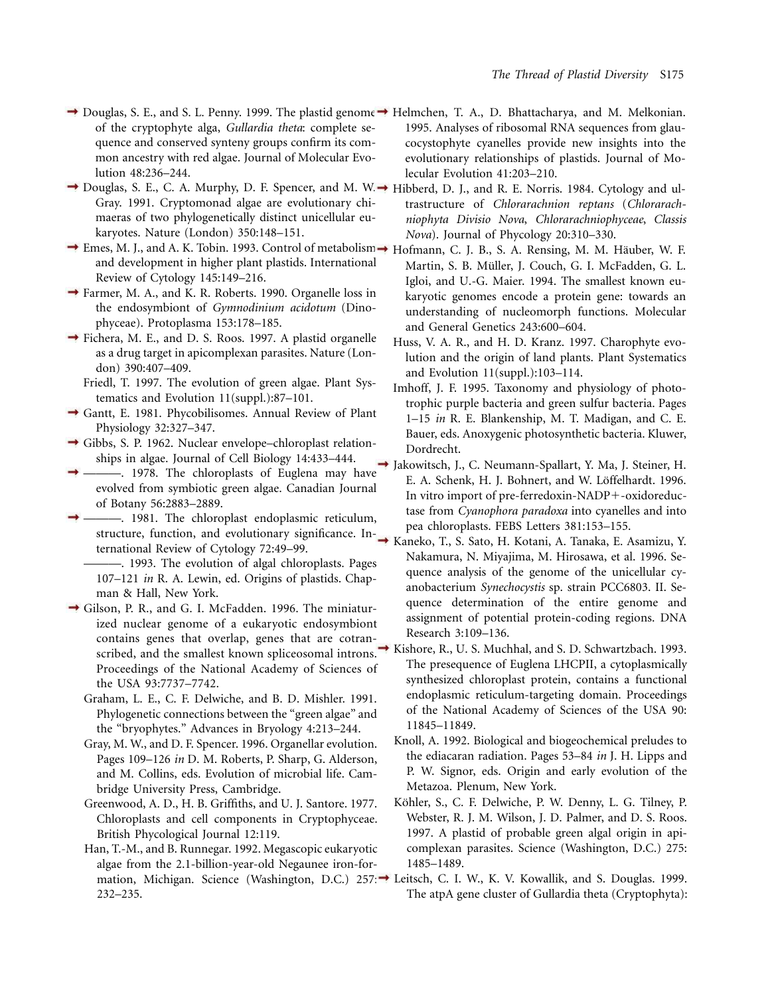- Douglas, S. E., and S. L. Penny. 1999. The plastid genome Helmchen, T. A., D. Bhattacharya, and M. Melkonian. of the cryptophyte alga, *Gullardia theta*: complete sequence and conserved synteny groups confirm its common ancestry with red algae. Journal of Molecular Evolution 48:236–244.
- $\rightarrow$  Douglas, S. E., C. A. Murphy, D. F. Spencer, and M. W. Gray. 1991. Cryptomonad algae are evolutionary chimaeras of two phylogenetically distinct unicellular eukaryotes. Nature (London) 350:148–151.
- Emes, M. J., and A. K. Tobin. 1993. Control of metabolism → Hofmann, C. J. B., S. A. Rensing, M. M. Häuber, W. F. and development in higher plant plastids. International Review of Cytology 145:149–216.
- Farmer, M. A., and K. R. Roberts. 1990. Organelle loss in the endosymbiont of *Gymnodinium acidotum* (Dinophyceae). Protoplasma 153:178–185.
- Fichera, M. E., and D. S. Roos. 1997. A plastid organelle as a drug target in apicomplexan parasites. Nature (London) 390:407–409.
	- Friedl, T. 1997. The evolution of green algae. Plant Systematics and Evolution 11(suppl.):87–101.
- Gantt, E. 1981. Phycobilisomes. Annual Review of Plant Physiology 32:327–347.
- Gibbs, S. P. 1962. Nuclear envelope–chloroplast relationships in algae. Journal of Cell Biology 14:433–444.
- ———. 1978. The chloroplasts of Euglena may have evolved from symbiotic green algae. Canadian Journal of Botany 56:2883–2889.
- ———. 1981. The chloroplast endoplasmic reticulum, structure, function, and evolutionary significance. International Review of Cytology 72:49–99.
	- ———. 1993. The evolution of algal chloroplasts. Pages 107–121 *in* R. A. Lewin, ed. Origins of plastids. Chapman & Hall, New York.
- Gilson, P. R., and G. I. McFadden. 1996. The miniaturized nuclear genome of a eukaryotic endosymbiont contains genes that overlap, genes that are cotran-Proceedings of the National Academy of Sciences of the USA 93:7737–7742.
	- Graham, L. E., C. F. Delwiche, and B. D. Mishler. 1991. Phylogenetic connections between the "green algae" and the "bryophytes." Advances in Bryology 4:213–244.
	- Gray, M. W., and D. F. Spencer. 1996. Organellar evolution. Pages 109–126 *in* D. M. Roberts, P. Sharp, G. Alderson, and M. Collins, eds. Evolution of microbial life. Cambridge University Press, Cambridge.
	- Greenwood, A. D., H. B. Griffiths, and U. J. Santore. 1977. Chloroplasts and cell components in Cryptophyceae. British Phycological Journal 12:119.
	- Han, T.-M., and B. Runnegar. 1992. Megascopic eukaryotic algae from the 2.1-billion-year-old Negaunee iron-for-232–235.
- 1995. Analyses of ribosomal RNA sequences from glaucocystophyte cyanelles provide new insights into the evolutionary relationships of plastids. Journal of Molecular Evolution 41:203–210.
- Hibberd, D. J., and R. E. Norris. 1984. Cytology and ultrastructure of *Chlorarachnion reptans* (*Chlorarachniophyta Divisio Nova*, *Chlorarachniophyceae*, *Classis Nova*). Journal of Phycology 20:310–330.
- Martin, S. B. Müller, J. Couch, G. I. McFadden, G. L. Igloi, and U.-G. Maier. 1994. The smallest known eukaryotic genomes encode a protein gene: towards an understanding of nucleomorph functions. Molecular and General Genetics 243:600–604.
- Huss, V. A. R., and H. D. Kranz. 1997. Charophyte evolution and the origin of land plants. Plant Systematics and Evolution 11(suppl.):103–114.
- Imhoff, J. F. 1995. Taxonomy and physiology of phototrophic purple bacteria and green sulfur bacteria. Pages 1–15 *in* R. E. Blankenship, M. T. Madigan, and C. E. Bauer, eds. Anoxygenic photosynthetic bacteria. Kluwer, Dordrecht.
- Jakowitsch, J., C. Neumann-Spallart, Y. Ma, J. Steiner, H. E. A. Schenk, H. J. Bohnert, and W. Löffelhardt. 1996. In vitro import of pre-ferredoxin-NADP+-oxidoreductase from *Cyanophora paradoxa* into cyanelles and into pea chloroplasts. FEBS Letters 381:153–155.
- Kaneko, T., S. Sato, H. Kotani, A. Tanaka, E. Asamizu, Y. Nakamura, N. Miyajima, M. Hirosawa, et al. 1996. Sequence analysis of the genome of the unicellular cyanobacterium *Synechocystis* sp. strain PCC6803. II. Sequence determination of the entire genome and assignment of potential protein-coding regions. DNA Research 3:109–136.
- scribed, and the smallest known spliceosomal introns. Kishore, R., U. S. Muchhal, and S. D. Schwartzbach. 1993. The presequence of Euglena LHCPII, a cytoplasmically synthesized chloroplast protein, contains a functional endoplasmic reticulum-targeting domain. Proceedings of the National Academy of Sciences of the USA 90: 11845–11849.
	- Knoll, A. 1992. Biological and biogeochemical preludes to the ediacaran radiation. Pages 53–84 *in* J. H. Lipps and P. W. Signor, eds. Origin and early evolution of the Metazoa. Plenum, New York.
	- Köhler, S., C. F. Delwiche, P. W. Denny, L. G. Tilney, P. Webster, R. J. M. Wilson, J. D. Palmer, and D. S. Roos. 1997. A plastid of probable green algal origin in apicomplexan parasites. Science (Washington, D.C.) 275: 1485–1489.
- mation, Michigan. Science (Washington, D.C.) 257: Leitsch, C. I. W., K. V. Kowallik, and S. Douglas. 1999. The atpA gene cluster of Gullardia theta (Cryptophyta):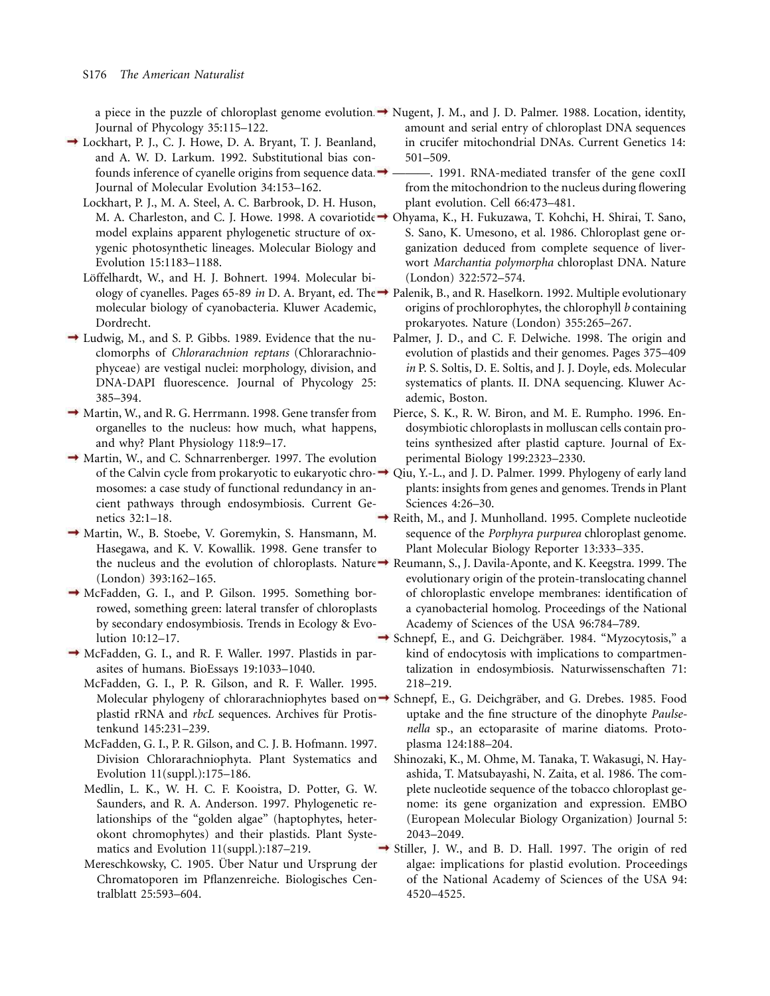Journal of Phycology 35:115–122.

- Lockhart, P. J., C. J. Howe, D. A. Bryant, T. J. Beanland, and A. W. D. Larkum. 1992. Substitutional bias confounds inference of cyanelle origins from sequence data.  $\rightarrow$ Journal of Molecular Evolution 34:153–162.
	- Lockhart, P. J., M. A. Steel, A. C. Barbrook, D. H. Huson, model explains apparent phylogenetic structure of oxygenic photosynthetic lineages. Molecular Biology and Evolution 15:1183–1188.
	- Löffelhardt, W., and H. J. Bohnert. 1994. Molecular bimolecular biology of cyanobacteria. Kluwer Academic, Dordrecht.
- Ludwig, M., and S. P. Gibbs. 1989. Evidence that the nuclomorphs of *Chlorarachnion reptans* (Chlorarachniophyceae) are vestigal nuclei: morphology, division, and DNA-DAPI fluorescence. Journal of Phycology 25: 385–394.
- Martin, W., and R. G. Herrmann. 1998. Gene transfer from organelles to the nucleus: how much, what happens, and why? Plant Physiology 118:9–17.
- $\rightarrow$  Martin, W., and C. Schnarrenberger. 1997. The evolution of the Calvin cycle from prokaryotic to eukaryotic chro- $\rightarrow$ mosomes: a case study of functional redundancy in ancient pathways through endosymbiosis. Current Genetics 32:1–18.
- Martin, W., B. Stoebe, V. Goremykin, S. Hansmann, M. Hasegawa, and K. V. Kowallik. 1998. Gene transfer to (London) 393:162–165.
- McFadden, G. I., and P. Gilson. 1995. Something borrowed, something green: lateral transfer of chloroplasts by secondary endosymbiosis. Trends in Ecology & Evolution 10:12–17.
- McFadden, G. I., and R. F. Waller. 1997. Plastids in parasites of humans. BioEssays 19:1033–1040.
	- McFadden, G. I., P. R. Gilson, and R. F. Waller. 1995. plastid rRNA and *rbcL* sequences. Archives für Protistenkund 145:231–239.
	- McFadden, G. I., P. R. Gilson, and C. J. B. Hofmann. 1997. Division Chlorarachniophyta. Plant Systematics and Evolution 11(suppl.):175–186.
	- Medlin, L. K., W. H. C. F. Kooistra, D. Potter, G. W. Saunders, and R. A. Anderson. 1997. Phylogenetic relationships of the "golden algae" (haptophytes, heterokont chromophytes) and their plastids. Plant Systematics and Evolution 11(suppl.):187–219.
	- Mereschkowsky, C. 1905. Über Natur und Ursprung der Chromatoporen im Pflanzenreiche. Biologisches Centralblatt 25:593–604.
- a piece in the puzzle of chloroplast genome evolution. Nugent, J. M., and J. D. Palmer. 1988. Location, identity, amount and serial entry of chloroplast DNA sequences in crucifer mitochondrial DNAs. Current Genetics 14: 501–509.
	- -. 1991. RNA-mediated transfer of the gene coxII from the mitochondrion to the nucleus during flowering plant evolution. Cell 66:473–481.
- M. A. Charleston, and C. J. Howe. 1998. A covariotide Ohyama, K., H. Fukuzawa, T. Kohchi, H. Shirai, T. Sano, S. Sano, K. Umesono, et al. 1986. Chloroplast gene organization deduced from complete sequence of liverwort *Marchantia polymorpha* chloroplast DNA. Nature (London) 322:572–574.
- ology of cyanelles. Pages 65-89 *in* D. A. Bryant, ed. The Palenik, B., and R. Haselkorn. 1992. Multiple evolutionary origins of prochlorophytes, the chlorophyll *b* containing prokaryotes. Nature (London) 355:265–267.
	- Palmer, J. D., and C. F. Delwiche. 1998. The origin and evolution of plastids and their genomes. Pages 375–409 *in* P. S. Soltis, D. E. Soltis, and J. J. Doyle, eds. Molecular systematics of plants. II. DNA sequencing. Kluwer Academic, Boston.
	- Pierce, S. K., R. W. Biron, and M. E. Rumpho. 1996. Endosymbiotic chloroplasts in molluscan cells contain proteins synthesized after plastid capture. Journal of Experimental Biology 199:2323–2330.
	- Qiu, Y.-L., and J. D. Palmer. 1999. Phylogeny of early land plants: insights from genes and genomes. Trends in Plant Sciences 4:26–30.
	- Reith, M., and J. Munholland. 1995. Complete nucleotide sequence of the *Porphyra purpurea* chloroplast genome. Plant Molecular Biology Reporter 13:333–335.
- the nucleus and the evolution of chloroplasts. Nature→ Reumann, S., J. Davila-Aponte, and K. Keegstra. 1999. The evolutionary origin of the protein-translocating channel of chloroplastic envelope membranes: identification of a cyanobacterial homolog. Proceedings of the National Academy of Sciences of the USA 96:784–789.
	- $\rightarrow$  Schnepf, E., and G. Deichgräber. 1984. "Myzocytosis," a kind of endocytosis with implications to compartmentalization in endosymbiosis. Naturwissenschaften 71: 218–219.
- Molecular phylogeny of chlorarachniophytes based on→ Schnepf, E., G. Deichgräber, and G. Drebes. 1985. Food uptake and the fine structure of the dinophyte *Paulsenella* sp., an ectoparasite of marine diatoms. Protoplasma 124:188–204.
	- Shinozaki, K., M. Ohme, M. Tanaka, T. Wakasugi, N. Hayashida, T. Matsubayashi, N. Zaita, et al. 1986. The complete nucleotide sequence of the tobacco chloroplast genome: its gene organization and expression. EMBO (European Molecular Biology Organization) Journal 5: 2043–2049.
	- Stiller, J. W., and B. D. Hall. 1997. The origin of red algae: implications for plastid evolution. Proceedings of the National Academy of Sciences of the USA 94: 4520–4525.